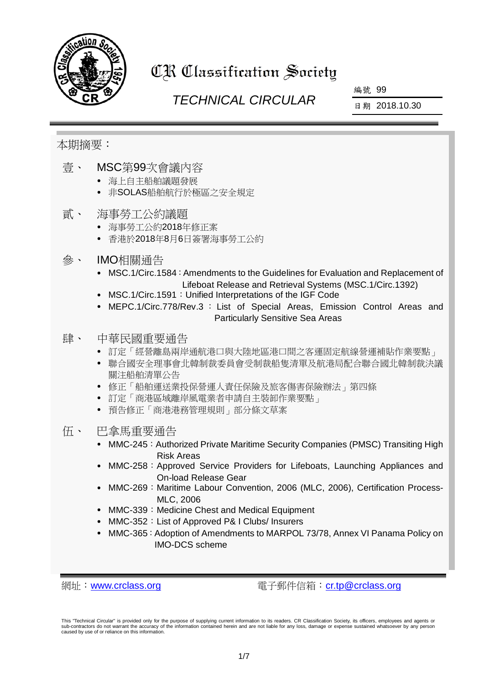

# CR Classification Society

# *TECHNICAL CIRCULAR*

編號 99

日期 2018.10.30

## 本期摘要:

- 壹、 MSC第99次會議內容
	- 海上自主船舶議題發展
	- 非SOLAS船舶航行於極區之安全規定
- 貳、 海事勞工公約議題
	- 海事勞工公約2018年修正案
	- 香港於2018年8月6日簽署海事勞工公約
- 參、 IMO相關通告
	- MSC.1/Circ.1584: Amendments to the Guidelines for Evaluation and Replacement of Lifeboat Release and Retrieval Systems (MSC.1/Circ.1392)
	- MSC.1/Circ.1591: Unified Interpretations of the IGF Code
	- MEPC.1/Circ.778/Rev.3 : List of Special Areas, Emission Control Areas and Particularly Sensitive Sea Areas

## 肆、 中華民國重要通告

- 訂定「經營離島兩岸通航港口與大陸地區港口間之客運固定航線營運補貼作業要點」
- 聯合國安全理事會北韓制裁委員會受制裁船隻清單及航港局配合聯合國北韓制裁決議 關注船舶清單公告
- 修正「船舶運送業投保營運人責任保險及旅客傷害保險辦法」第四條
- 訂定「商港區域離岸風電業者申請自主裝卸作業要點」
- 預告修正「商港港務管理規則」部分條文草案
- 伍、 巴拿馬重要通告
	- MMC-245: Authorized Private Maritime Security Companies (PMSC) Transiting High Risk Areas
	- MMC-258: Approved Service Providers for Lifeboats, Launching Appliances and On-load Release Gear
	- MMC-269:Maritime Labour Convention, 2006 (MLC, 2006), Certification Process-MLC, 2006
	- MMC-339: Medicine Chest and Medical Equipment
	- MMC-352: List of Approved P& I Clubs/ Insurers
	- MMC-365: Adoption of Amendments to MARPOL 73/78, Annex VI Panama Policy on IMO-DCS scheme

網址: [www.crclass.org](http://www.crclass.org/) 雷子郵件信箱: [cr.tp@crclass.org](mailto:cr.tp@crclass.org)

This "Technical Circular" is provided only for the purpose of supplying current information to its readers. CR Classification Society, its officers, employees and agents or sub-contractors do not warrant the accuracy of the information contained herein and are not liable for any loss, damage or expense sustained whatsoever by any person caused by use of or reliance on this information.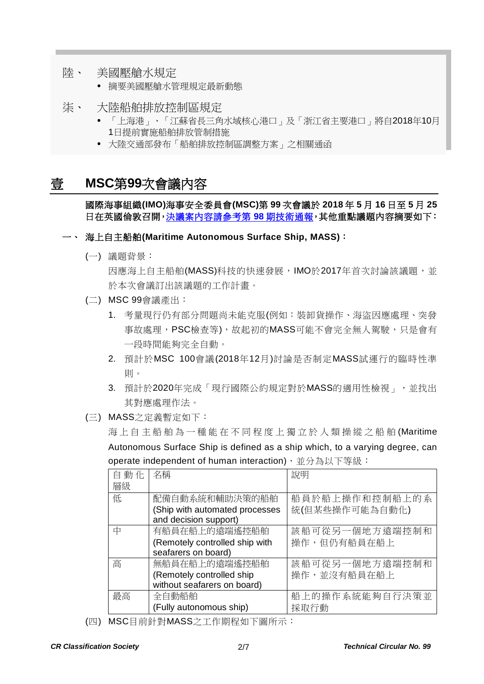- 陸、 美國壓艙水規定
	- 摘要美國壓艙水管理規定最新動態
- 柒、 大陸船舶排放控制區規定
	- 「上海港」、「江蘇省長三角水域核心港口」及「浙江省主要港口」將自2018年10月 1日提前實施船舶排放管制措施
	- 大陸交通部發布「船舶排放控制區調整方案」之相關通函

## 壹 **MSC**第**99**次會議內容

國際海事組織**(IMO)**海事安全委員會**(MSC)**第 **99** 次會議於 **2018** 年 **5** 月 **16** 日至 **5** 月 **25** 日在英國倫敦召開[,決議案內容請參考第](https://www.crclass.org/chinese/download/ti-tc/98/98.pdf) **98** 期技術通報,其他重點議題內容摘要如下:

#### 一、 海上自主船舶**(Maritime Autonomous Surface Ship, MASS)**:

(一) 議題背景:

因應海上自主船舶(MASS)科技的快速發展,IMO於2017年首次討論該議題,並 於本次會議訂出該議題的工作計畫。

- (二) MSC 99會議產出:
	- 1. 考量現行仍有部分問題尚未能克服(例如:裝卸貨操作、海盜因應處理、突發 事故處理,PSC檢查等),故起初的MASS可能不會完全無人駕駛,只是會有 一段時間能夠完全自動。
	- 2. 預計於MSC 100會議(2018年12月)討論是否制定MASS試運行的臨時性準 則。
	- 3. 預計於2020年完成「現行國際公約規定對於MASS的適用性檢視」,並找出 其對應處理作法。
- (三) MASS之定義暫定如下:

海上自主船舶為一種能在不同程度上獨立於人類操縱之船舶(Maritime Autonomous Surface Ship is defined as a ship which, to a varying degree, can operate independent of human interaction), 並分為以下等級:

| 自動化 | 名稱                             | 說明             |
|-----|--------------------------------|----------------|
| 層級  |                                |                |
| 低   | 配備自動系統和輔助決策的船舶                 | 船員於船上操作和控制船上的系 |
|     | (Ship with automated processes | 統(但某些操作可能為自動化) |
|     | and decision support)          |                |
| 中   | 有船員在船上的遠端遙控船舶                  | 該船可從另一個地方遠端控制和 |
|     | (Remotely controlled ship with | 操作,但仍有船員在船上    |
|     | seafarers on board)            |                |
| 高   | 無船員在船上的遠端遙控船舶                  | 該船可從另一個地方遠端控制和 |
|     | (Remotely controlled ship      | 操作,並沒有船員在船上    |
|     | without seafarers on board)    |                |
| 最高  | 全自動船舶                          | 船上的操作系統能夠自行決策並 |
|     | (Fully autonomous ship)        | 採取行動           |

(四) MSC目前針對MASS之工作期程如下圖所示: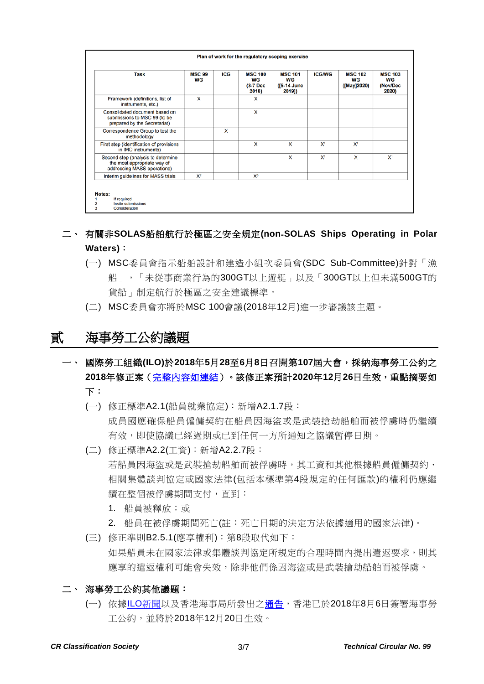|                                                                                                  |       |   | WG<br>(3-7 Dec<br>2018) | WG<br>([5-14 June<br>2019]) |                | WG<br>([May]2020) | WG<br>(Nov/Dec<br>2020) |
|--------------------------------------------------------------------------------------------------|-------|---|-------------------------|-----------------------------|----------------|-------------------|-------------------------|
| Framework (definitions, list of<br>instruments, etc.)                                            | x     |   | x                       |                             |                |                   |                         |
| Consolidated document based on<br>submissions to MSC 99 (to be<br>prepared by the Secretariat)   |       |   | x                       |                             |                |                   |                         |
| Correspondence Group to test the<br>methodology                                                  |       | x |                         |                             |                |                   |                         |
| First step (identification of provisions<br>in IMO instruments)                                  |       |   | x                       | x                           | X <sup>1</sup> | X <sup>1</sup>    |                         |
| Second step (analysis to determine<br>the most appropriate way of<br>addressing MASS operations) |       |   |                         | x                           | X <sup>1</sup> | x                 | $X^1$                   |
| Interim guidelines for MASS trials                                                               | $X^2$ |   | $X^3$                   |                             |                |                   |                         |

### 二、 有關非**SOLAS**船舶航行於極區之安全規定**(non**‐**SOLAS Ships Operating in Polar Waters)**:

- (一) MSC委員會指示船舶設計和建造小組次委員會(SDC Sub-Committee)針對「漁 船」,「未從事商業行為的300GT以上遊艇」以及「300GT以上但未滿500GT的 貨船」制定航行於極區之安全建議標準。
- (二) MSC委員會亦將於MSC 100會議(2018年12月)進一步審議該主題。

# 貳 海事勞工公約議題

一、 國際勞工組織**(ILO)**於**2018**年**5**月**28**至**6**月**8**日召開第**107**屆大會,採納海事勞工公約之 **2018**年修正案[\(完整內容如連結\)](https://www.crclass.org/chinese/download/ti-tc/99/2-1%20Amendments_MLC_2018_Fr.pdf)。該修正案預計**2020**年**12**月**26**日生效,重點摘要如 下:

- (一) 修正標準A2.1(船員就業協定):新增A2.1.7段: 成員國應確保船員僱傭契約在船員因海盜或是武裝搶劫船舶而被俘虜時仍繼續 有效,即使協議已經過期或已到任何一方所通知之協議暫停日期。
- (二) 修正標準A2.2(工資):新增A2.2.7段: 若船員因海盜或是武裝搶劫船舶而被俘虜時,其工資和其他根據船員僱傭契約、 相關集體談判協定或國家法律(包括本標準第4段規定的任何匯款)的權利仍應繼 續在整個被俘虜期間支付,直到:
	- 1. 船員被釋放;或
	- 2. 船員在被俘虜期間死亡(註:死亡日期的決定方法依據適用的國家法律)。
- (三) 修正準則B2.5.1(應享權利):第8段取代如下: 如果船員未在國家法律或集體談判協定所規定的合理時間內提出遣返要求,則其 應享的遣返權利可能會失效,除非他們係因海盜或是武裝搶劫船舶而被俘虜。
- 二、 海事勞工公約其他議題:
	- (一) 依據ILO[新聞以](https://www.ilo.org/global/standards/maritime-labour-convention/WCMS_641763/lang--en/index.htm)及香港海事局所發出[之通告,](https://www.crclass.org/chinese/download/ti-tc/99/2-2%20msin1825%5b1%5d.pdf)香港已於2018年8月6日簽署海事勞 工公約,並將於2018年12月20[日生效。](https://www.ilo.org/dyn/normlex/en/f?p=1000:11200:0::NO:11200:P11200_COUNTRY_ID:103578)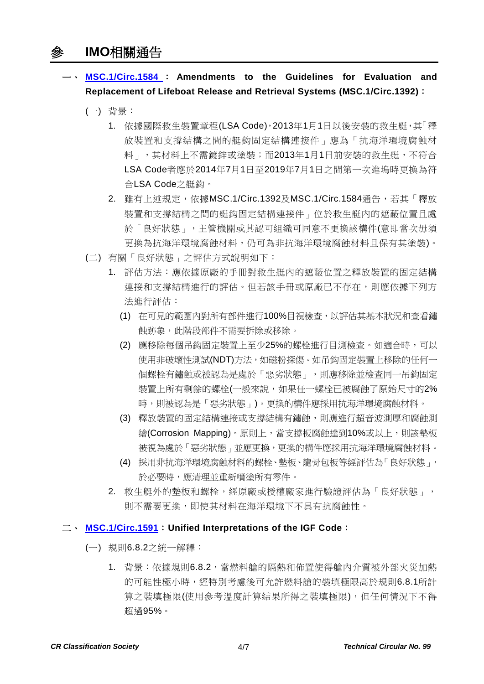一、 **[MSC.1/Circ.1584](https://www.crclass.org/chinese/download/ti-tc/99/3-1%20msc.1-circ.1584.pdf)** : **Amendments to the Guidelines for Evaluation and Replacement of Lifeboat Release and Retrieval Systems (MSC.1/Circ.1392)**:

- (一) 背景:
	- 1. 依據國際救生裝置章程(LSA Code),2013年1月1日以後安裝的救生艇,其「釋 放裝置和支撐結構之間的艇鈎固定結構連接件」應為「抗海洋環境腐蝕材 料」,其材料上不需鍍鋅或塗裝;而2013年1月1日前安裝的救生艇,不符合 LSA Code者應於2014年7月1日至2019年7月1日之間第一次進塢時更換為符 合LSA Code之艇鈎。
	- 2. 雖有上述規定,依據MSC.1/Circ.1392及MSC.1/Circ.1584通告,若其「釋放 裝置和支撐結構之間的艇鈎固定結構連接件」位於救生艇內的遮蔽位置且處 於「良好狀態」,主管機關或其認可組織可同意不更換該構件(意即當次毋須 更換為抗海洋環境腐蝕材料,仍可為非抗海洋環境腐蝕材料且保有其塗裝)。
- (二) 有關「良好狀態」之評估方式說明如下:
	- 1. 評估方法:應依據原廠的手冊對救生艇內的遮蔽位置之釋放裝置的固定結構 連接和支撐結構進行的評估。但若該手冊或原廠已不存在,則應依據下列方 法進行評估:
		- (1) 在可見的範圍內對所有部件進行100%目視檢查,以評估其基本狀況和查看鏽 蝕跡象,此階段部件不需要拆除或移除。
		- (2) 應移除每個吊鈎固定裝置上至少25%的螺栓進行目測檢查。如適合時,可以 使用非破壞性測試(NDT)方法,如磁粉探傷。如吊鈎固定裝置上移除的任何一 個螺栓有鏽蝕或被認為是處於「惡劣狀態」,則應移除並檢查同一吊鈎固定 装置上所有剩餘的螺栓(一般來說,如果任一螺栓已被腐蝕了原始尺寸的2% 時,則被認為是「惡劣狀態」)。更換的構件應採用抗海洋環境腐蝕材料。
		- (3) 釋放裝置的固定結構連接或支撐結構有鏽蝕,則應進行超音波測厚和腐蝕測 繪(Corrosion Mapping)。原則上,當支撐板腐蝕達到10%或以上,則該墊板 被視為處於「惡劣狀態」並應更換,更換的構件應採用抗海洋環境腐蝕材料。
		- (4) 採用非抗海洋環境腐蝕材料的螺栓、墊板、龍骨包板等經評估為「良好狀態」, 於必要時,應清理並重新噴塗所有零件。
	- 2. 救生艇外的墊板和螺栓,經原廠或授權廠家進行驗證評估為「良好狀態」, 則不需要更換,即使其材料在海洋環境下不具有抗腐蝕性。

#### 二、 **[MSC.1/Circ.1591](https://www.crclass.org/chinese/download/ti-tc/99/3-2%20MSC.1-Circ.1591%20-%20Unified%20Interpretations%20Of%20The%20Igf%20Code%20(Secretariat)%20(1).pdf)**:**Unified Interpretations of the IGF Code**:

- (一) 規則6.8.2之統一解釋:
	- 1. 背景:依據規則6.8.2,當燃料艙的隔熱和佈置使得艙內介質被外部火災加熱 的可能性極小時,經特別考慮後可允許燃料艙的裝填極限高於規則6.8.1所計 算之裝填極限(使用參考溫度計算結果所得之裝填極限),但任何情況下不得 超過95%。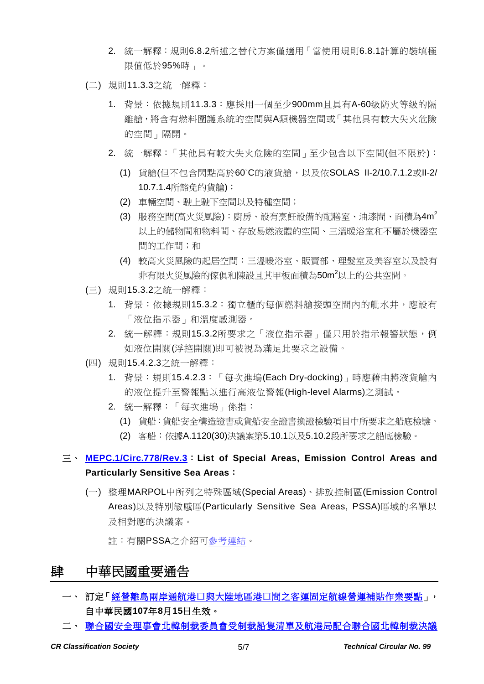- 2. 統一解釋:規則6.8.2所述之替代方案僅適用「當使用規則6.8.1計算的裝填極 限值低於95%時」。
- (二) 規則11.3.3之統一解釋:
	- 1. 背景:依據規則11.3.3:應採用一個至少900mm且具有A-60級防火等級的隔 離艙,將含有燃料圍護系統的空間與A類機器空間或「其他具有較大失火危險 的空間」隔開。
	- 2. 統一解釋:「其他具有較大失火危險的空間」至少包含以下空間(但不限於):
		- (1) 貨艙(但不包含閃點高於60°C的液貨艙,以及依SOLAS II-2/10.7.1.2或II-2/ 10.7.1.4所豁免的貨艙);
		- (2) 車輛空間、駛上駛下空間以及特種空間;
		- (3) 服務空間(高火災風險):廚房、設有烹飪設備的配膳室、油漆間、面積為4m<sup>2</sup> 以上的儲物間和物料間、存放易燃液體的空間、三溫暖浴室和不屬於機器空 間的工作間;和
		- (4) 較高火災風險的起居空間:三溫暖浴室、販賣部、理髮室及美容室以及設有 非有限火災風險的傢俱和陳設且其甲板面積為**50m<sup>2</sup>以上的公共空間**。
- (三) 規則15.3.2之統一解釋:
	- 1. 背景: 依據規則15.3.2: 獨立櫃的每個燃料艙接頭空間內的舭水井, 應設有 「液位指示器」和溫度感測器。
	- 2. 統一解釋:規則15.3.2所要求之「液位指示器」僅只用於指示報警狀態,例 如液位開關(浮控開關)即可被視為滿足此要求之設備。
- (四) 規則15.4.2.3之統一解釋:
	- 1. 背景:規則15.4.2.3:「每次進塢(Each Dry-docking)」時應藉由將液貨艙內 的液位提升至警報點以進行高液位警報(High-level Alarms)之測試。
	- 2. 統一解釋:「每次進塢」係指:
		- (1) 貨船:貨船安全構造證書或貨船安全證書換證檢驗項目中所要求之船底檢驗。
		- (2) 客船:依據A.1120(30)決議案第5.10.1以及5.10.2段所要求之船底檢驗。

## 三、 **[MEPC.1/Circ.778/Rev.3](https://www.crclass.org/chinese/download/ti-tc/99/3-3%20MEPC.1-Circ.778-Rev.3%20-%20Special%20Areas%20and%20Emission%20Control%20Areas%20(ECAs)%20under%20MARPOL%20(Secretariat)%20(1).pdf)**:**List of Special Areas, Emission Control Areas and Particularly Sensitive Sea Areas**:

(一) 整理MARPOL中所列之特殊區域(Special Areas)、排放控制區(Emission Control Areas)以及特別敏感區(Particularly Sensitive Sea Areas, PSSA)區域的名單以 及相對應的決議案。

註:有關PSSA之介紹[可參考連結。](http://www.imo.org/en/OurWork/Environment/PSSAs/Pages/Default.aspx)

# 肆 中華民國重要通告

- 一、 訂定[「經營離島兩岸通航港口與大陸地區港口間之客運固定航線營運補貼作業要點」](https://gazette.nat.gov.tw/egFront/detail.do?metaid=101202&log=detailLog), 自中華民國**107**年**8**月**15**日生效。
- 二、 [聯合國安全理事會北韓制裁委員會受制裁船隻清單及航港局配合聯合國北韓制裁決議](https://www.motcmpb.gov.tw/information_103_11998.html)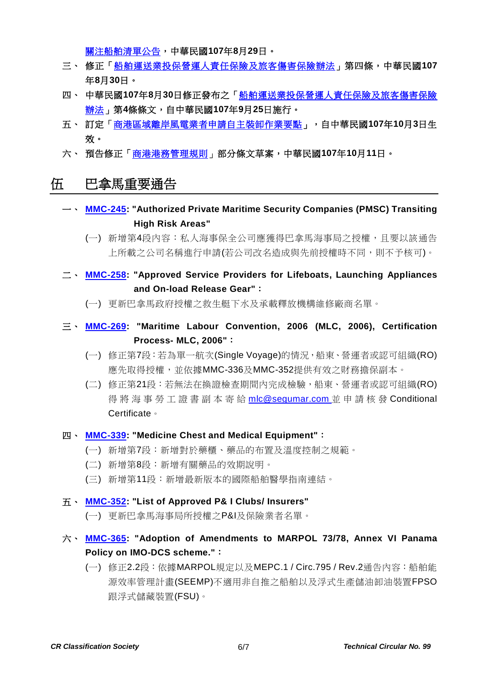[關注船舶清單公告,](https://www.motcmpb.gov.tw/information_103_11998.html)中華民國**107**年**8**月**29**日。

- 三、 修正[「船舶運送業投保營運人責任保險及旅客傷害保險辦法」](https://gazette.nat.gov.tw/egFront/detail.do?metaid=101100&log=detailLog)第四條,中華民國**107** 年**8**月**30**日。
- 四、 中華民國**107**年**8**月**30**日修正發布之[「船舶運送業投保營運人責任保險及旅客傷害保險](https://gazette.nat.gov.tw/egFront/detail.do?metaid=101570&log=detailLog) [辦法」](https://gazette.nat.gov.tw/egFront/detail.do?metaid=101570&log=detailLog)第**4**條條文,自中華民國**107**年**9**月**25**日施行。
- 五、 訂定[「商港區域離岸風電業者申請自主裝卸作業要點」](https://gazette.nat.gov.tw/egFront/detail.do?metaid=101761&log=detailLog),自中華民國**107**年**10**月**3**日生 效。
- 六、 預告修正[「商港港務管理規則」](https://odmdoc.motc.gov.tw/IFDEWebBBS_MOTC/ExternalBBS.aspx?ThirdDocId=107RD05280)部分條文草案,中華民國**107**年**10**月**11**日。

## 伍 巴拿馬重要通告

- 一、 **[MMC-245:](https://www.crclass.org/chinese/download/ti-tc/99/5-1%20MMC-245-03-10-2018.pdf) "Authorized Private Maritime Security Companies (PMSC) Transiting High Risk Areas"**
	- (一) 新增第4段內容:私人海事保全公司應獲得巴拿馬海事局之授權,且要以該通告 上所載之公司名稱進行申請(若公司改名造成與先前授權時不同,則不予核可)。
- 二、 **[MMC-258:](https://www.crclass.org/chinese/download/ti-tc/99/5-2%20Actualizada-MMC-258-Approved-service-providers-for-lifeboats-launching-OCTOBER-2018.pdf) "Approved Service Providers for Lifeboats, Launching Appliances and On-load Release Gear"**:
	- (一) 更新巴拿馬政府授權之救生艇下水及承載釋放機構維修廠商名單。
- 三、 **[MMC-269:](https://www.crclass.org/chinese/download/ti-tc/99/5-3%20MMC-269-14-09-2018-MLC.pdf) "Maritime Labour Convention, 2006 (MLC, 2006), Certification Process- MLC, 2006"**:
	- (一) 修正第7段:若為單一航次(Single Voyage)的情況,船東、營運者或認可組織(RO) 應先取得授權,並依據MMC-336及MMC-352提供有效之財務擔保副本。
	- (二) 修正第21段:若無法在換證檢查期間內完成檢驗,船東、營運者或認可組織(RO) 得 將海事勞工證書副本寄給 [mlc@segumar.com](mailto:mlc@segumar.com) 並申請核發 Conditional Certificate。

#### 四、 **[MMC-339:](https://www.crclass.org/chinese/download/ti-tc/99/5-4%20MMC-339-MEDICINE-CHEST-AND-MEDICAL-EQUIPMENT-05-09-2018.pdf) "Medicine Chest and Medical Equipment"**:

- (一) 新增第7段:新增對於藥櫃、藥品的布置及溫度控制之規範。
- (二) 新增第8段:新增有關藥品的效期說明。
- (三) 新增第11段:新增最新版本的國際船舶醫學指南連結。

#### 五、 **[MMC-352:](https://www.crclass.org/chinese/download/ti-tc/99/5-5%20MMC-352-OCTOBER-2018.pdf) "List of Approved P& I Clubs/ Insurers"**

(一) 更新巴拿馬海事局所授權之P&I及保險業者名單。

- 六、 **[MMC-365:](https://www.crclass.org/chinese/download/ti-tc/99/5-6%20MMC-365-september-2018.pdf) "Adoption of Amendments to MARPOL 73/78, Annex VI Panama Policy on IMO-DCS scheme."**:
	- (一) 修正2.2段:依據MARPOL規定以及MEPC.1 / Circ.795 / Rev.2通告內容:船舶能 源效率管理計畫(SEEMP)不適用非自推之船舶以及浮式生產儲油卸油裝置FPSO 跟浮式儲藏裝置(FSU)。